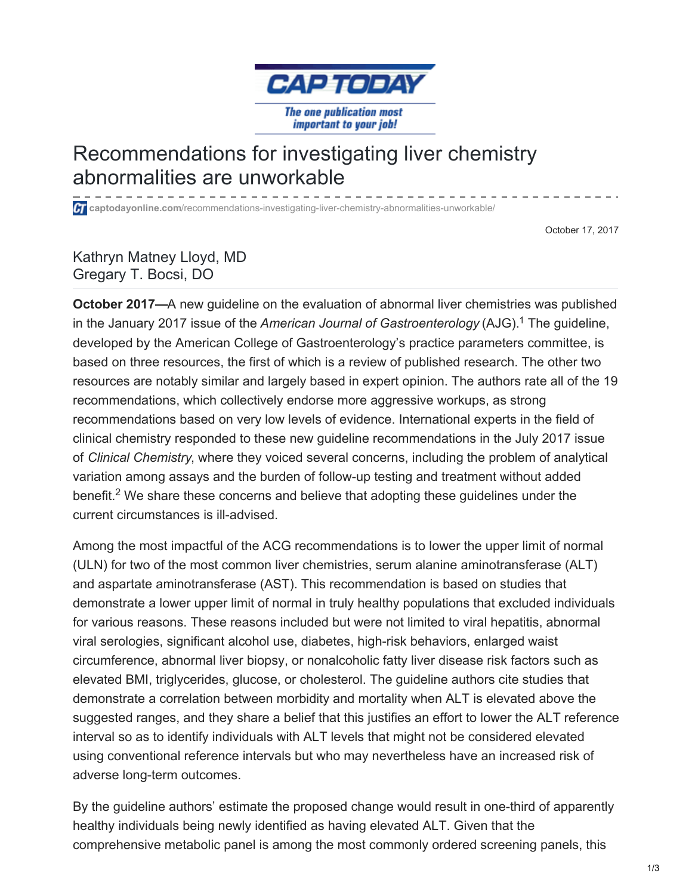

## Recommendations for investigating liver chemistry abnormalities are unworkable

**captodayonline.com**[/recommendations-investigating-liver-chemistry-abnormalities-unworkable/](http://www.captodayonline.com/recommendations-investigating-liver-chemistry-abnormalities-unworkable/)

October 17, 2017

Kathryn Matney Lloyd, MD Gregary T. Bocsi, DO

**October 2017—**A new guideline on the evaluation of abnormal liver chemistries was published in the January 2017 issue of the *American Journal of Gastroenterology* (AJG). The guideline, 1 developed by the American College of Gastroenterology's practice parameters committee, is based on three resources, the first of which is a review of published research. The other two resources are notably similar and largely based in expert opinion. The authors rate all of the 19 recommendations, which collectively endorse more aggressive workups, as strong recommendations based on very low levels of evidence. International experts in the field of clinical chemistry responded to these new guideline recommendations in the July 2017 issue of *Clinical Chemistry*, where they voiced several concerns, including the problem of analytical variation among assays and the burden of follow-up testing and treatment without added benefit.<sup>2</sup> We share these concerns and believe that adopting these guidelines under the current circumstances is ill-advised.

Among the most impactful of the ACG recommendations is to lower the upper limit of normal (ULN) for two of the most common liver chemistries, serum alanine aminotransferase (ALT) and aspartate aminotransferase (AST). This recommendation is based on studies that demonstrate a lower upper limit of normal in truly healthy populations that excluded individuals for various reasons. These reasons included but were not limited to viral hepatitis, abnormal viral serologies, significant alcohol use, diabetes, high-risk behaviors, enlarged waist circumference, abnormal liver biopsy, or nonalcoholic fatty liver disease risk factors such as elevated BMI, triglycerides, glucose, or cholesterol. The guideline authors cite studies that demonstrate a correlation between morbidity and mortality when ALT is elevated above the suggested ranges, and they share a belief that this justifies an effort to lower the ALT reference interval so as to identify individuals with ALT levels that might not be considered elevated using conventional reference intervals but who may nevertheless have an increased risk of adverse long-term outcomes.

By the guideline authors' estimate the proposed change would result in one-third of apparently healthy individuals being newly identified as having elevated ALT. Given that the comprehensive metabolic panel is among the most commonly ordered screening panels, this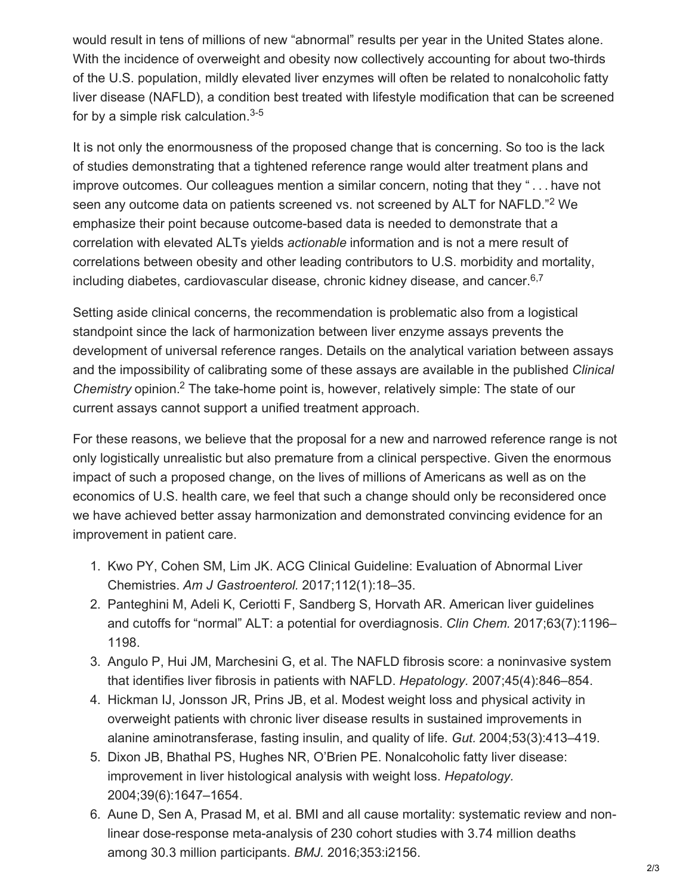would result in tens of millions of new "abnormal" results per year in the United States alone. With the incidence of overweight and obesity now collectively accounting for about two-thirds of the U.S. population, mildly elevated liver enzymes will often be related to nonalcoholic fatty liver disease (NAFLD), a condition best treated with lifestyle modification that can be screened for by a simple risk calculation.<sup>3-5</sup>

It is not only the enormousness of the proposed change that is concerning. So too is the lack of studies demonstrating that a tightened reference range would alter treatment plans and improve outcomes. Our colleagues mention a similar concern, noting that they " . . . have not seen any outcome data on patients screened vs. not screened by ALT for NAFLD."<sup>2</sup> We emphasize their point because outcome-based data is needed to demonstrate that a correlation with elevated ALTs yields *actionable* information and is not a mere result of correlations between obesity and other leading contributors to U.S. morbidity and mortality, including diabetes, cardiovascular disease, chronic kidney disease, and cancer. 6,7

Setting aside clinical concerns, the recommendation is problematic also from a logistical standpoint since the lack of harmonization between liver enzyme assays prevents the development of universal reference ranges. Details on the analytical variation between assays and the impossibility of calibrating some of these assays are available in the published *Clinical* Chemistry opinion.<sup>2</sup> The take-home point is, however, relatively simple: The state of our current assays cannot support a unified treatment approach.

For these reasons, we believe that the proposal for a new and narrowed reference range is not only logistically unrealistic but also premature from a clinical perspective. Given the enormous impact of such a proposed change, on the lives of millions of Americans as well as on the economics of U.S. health care, we feel that such a change should only be reconsidered once we have achieved better assay harmonization and demonstrated convincing evidence for an improvement in patient care.

- 1. Kwo PY, Cohen SM, Lim JK. ACG Clinical Guideline: Evaluation of Abnormal Liver Chemistries. *Am J Gastroenterol.* 2017;112(1):18–35.
- 2. Panteghini M, Adeli K, Ceriotti F, Sandberg S, Horvath AR. American liver guidelines and cutoffs for "normal" ALT: a potential for overdiagnosis. *Clin Chem.* 2017;63(7):1196– 1198.
- 3. Angulo P, Hui JM, Marchesini G, et al. The NAFLD fibrosis score: a noninvasive system that identifies liver fibrosis in patients with NAFLD. *Hepatology.* 2007;45(4):846–854.
- 4. Hickman IJ, Jonsson JR, Prins JB, et al. Modest weight loss and physical activity in overweight patients with chronic liver disease results in sustained improvements in alanine aminotransferase, fasting insulin, and quality of life. *Gut.* 2004;53(3):413–419.
- 5. Dixon JB, Bhathal PS, Hughes NR, O'Brien PE. Nonalcoholic fatty liver disease: improvement in liver histological analysis with weight loss. *Hepatology.* 2004;39(6):1647–1654.
- 6. Aune D, Sen A, Prasad M, et al. BMI and all cause mortality: systematic review and nonlinear dose-response meta-analysis of 230 cohort studies with 3.74 million deaths among 30.3 million participants. *BMJ.* 2016;353:i2156.